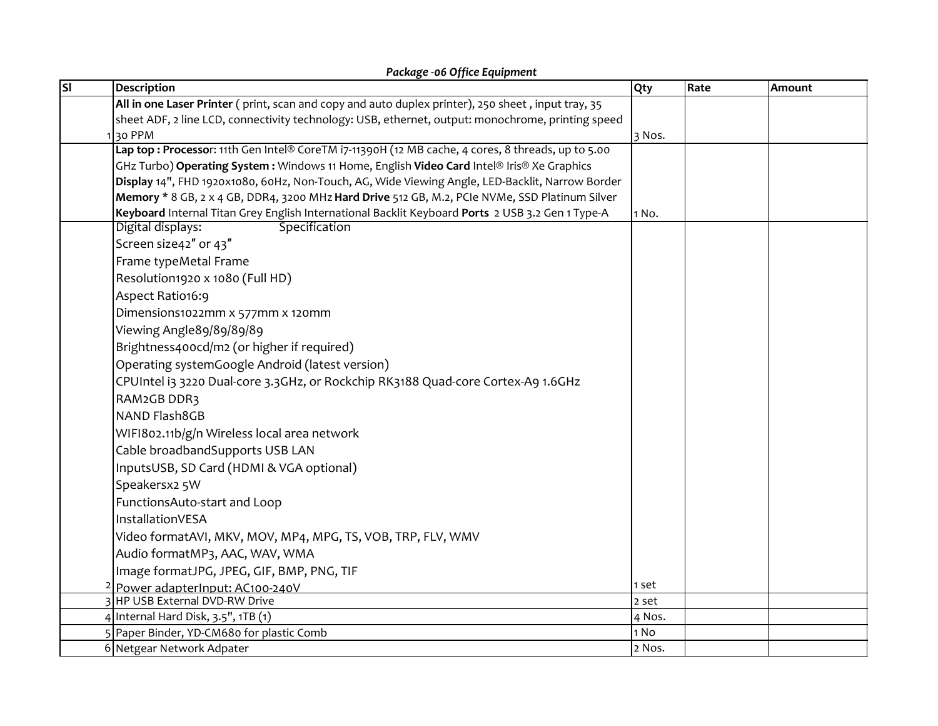| Package - 06 Office Equipment |                                                                                                    |        |      |        |  |  |  |
|-------------------------------|----------------------------------------------------------------------------------------------------|--------|------|--------|--|--|--|
| $\overline{\mathsf{SI}}$      | Description                                                                                        | Qty    | Rate | Amount |  |  |  |
|                               | All in one Laser Printer (print, scan and copy and auto duplex printer), 250 sheet, input tray, 35 |        |      |        |  |  |  |
|                               | sheet ADF, 2 line LCD, connectivity technology: USB, ethernet, output: monochrome, printing speed  |        |      |        |  |  |  |
|                               | 130 PPM                                                                                            | 3 Nos. |      |        |  |  |  |
|                               | Lap top: Processor: 11th Gen Intel® CoreTM i7-11390H (12 MB cache, 4 cores, 8 threads, up to 5.00  |        |      |        |  |  |  |
|                               | GHz Turbo) Operating System: Windows 11 Home, English Video Card Intel® Iris® Xe Graphics          |        |      |        |  |  |  |
|                               | Display 14", FHD 1920x1080, 60Hz, Non-Touch, AG, Wide Viewing Angle, LED-Backlit, Narrow Border    |        |      |        |  |  |  |
|                               | Memory * 8 GB, 2 x 4 GB, DDR4, 3200 MHz Hard Drive 512 GB, M.2, PCIe NVMe, SSD Platinum Silver     |        |      |        |  |  |  |
|                               | Keyboard Internal Titan Grey English International Backlit Keyboard Ports 2 USB 3.2 Gen 1 Type-A   | 1 No.  |      |        |  |  |  |
|                               | Digital displays:<br>Specification                                                                 |        |      |        |  |  |  |
|                               | Screen size42" or 43"                                                                              |        |      |        |  |  |  |
|                               | Frame typeMetal Frame                                                                              |        |      |        |  |  |  |
|                               | Resolution1920 x 1080 (Full HD)                                                                    |        |      |        |  |  |  |
|                               | Aspect Ratio16:9                                                                                   |        |      |        |  |  |  |
|                               | Dimensions1022mm x 577mm x 120mm                                                                   |        |      |        |  |  |  |
|                               | Viewing Angle89/89/89/89                                                                           |        |      |        |  |  |  |
|                               | Brightness400cd/m2 (or higher if required)                                                         |        |      |        |  |  |  |
|                               | Operating systemGoogle Android (latest version)                                                    |        |      |        |  |  |  |
|                               | CPUIntel i3 3220 Dual-core 3.3GHz, or Rockchip RK3188 Quad-core Cortex-A9 1.6GHz                   |        |      |        |  |  |  |
|                               | RAM2GB DDR3                                                                                        |        |      |        |  |  |  |
|                               | NAND Flash8GB                                                                                      |        |      |        |  |  |  |
|                               | WIFI802.11b/g/n Wireless local area network                                                        |        |      |        |  |  |  |
|                               | Cable broadbandSupports USB LAN                                                                    |        |      |        |  |  |  |
|                               | InputsUSB, SD Card (HDMI & VGA optional)                                                           |        |      |        |  |  |  |
|                               |                                                                                                    |        |      |        |  |  |  |
|                               | Speakersx2 5W                                                                                      |        |      |        |  |  |  |
|                               | FunctionsAuto-start and Loop                                                                       |        |      |        |  |  |  |
|                               | InstallationVESA                                                                                   |        |      |        |  |  |  |
|                               | Video formatAVI, MKV, MOV, MP4, MPG, TS, VOB, TRP, FLV, WMV                                        |        |      |        |  |  |  |
|                               | Audio formatMP3, AAC, WAV, WMA                                                                     |        |      |        |  |  |  |
|                               | Image formatJPG, JPEG, GIF, BMP, PNG, TIF                                                          |        |      |        |  |  |  |
|                               | <sup>2</sup> Power adapter nput: AC100-240V                                                        | 1 set  |      |        |  |  |  |
|                               | 3 HP USB External DVD-RW Drive                                                                     | 2 set  |      |        |  |  |  |
|                               | 4 Internal Hard Disk, 3.5", 1TB (1)                                                                | 4 Nos. |      |        |  |  |  |
|                               | 5 Paper Binder, YD-CM680 for plastic Comb                                                          | 1 No   |      |        |  |  |  |
|                               | 6 Netgear Network Adpater                                                                          | 2 Nos. |      |        |  |  |  |